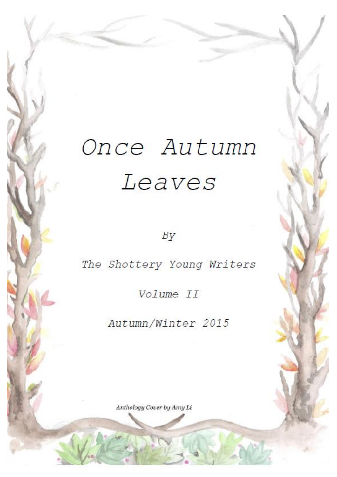# Once Autumn Leaves

 $By$ 

The Shottery Young Writers

Volume II

Autumn/Winter 2015

Anthology Cover by Amy Li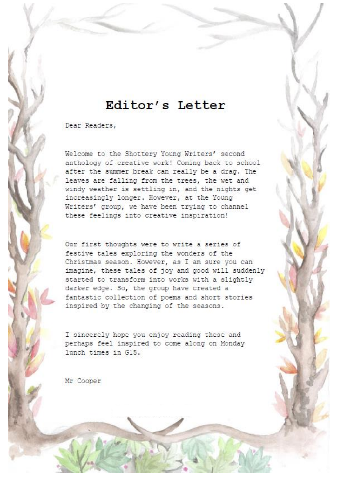# Editor's Letter

Dear Readers,

Welcome to the Shottery Young Writers' second anthology of creative work! Coming back to school after the summer break can really be a drag. The leaves are falling from the trees, the wet and windy weather is settling in, and the nights get increasingly longer. However, at the Young Writers' group, we have been trying to channel these feelings into creative inspiration!

Our first thoughts were to write a series of festive tales exploring the wonders of the Christmas season. However, as I am sure you can imagine, these tales of joy and good will suddenly started to transform into works with a slightly darker edge. So, the group have created a fantastic collection of poems and short stories inspired by the changing of the seasons.

I sincerely hope you enjoy reading these and perhaps feel inspired to come along on Monday lunch times in G15.

Mr Cooper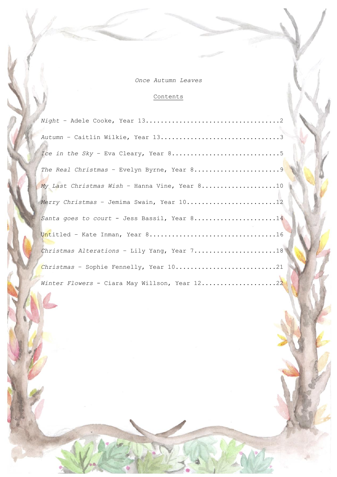*Once Autumn Leaves*

## Contents

| Autumn - Caitlin Wilkie, Year 133             |  |
|-----------------------------------------------|--|
|                                               |  |
| The Real Christmas - Evelyn Byrne, Year 89    |  |
| My Last Christmas Wish - Hanna Vine, Year 810 |  |
| Merry Christmas - Jemima Swain, Year 1012     |  |
| Santa goes to court - Jess Bassil, Year 814   |  |
|                                               |  |
| Christmas Alterations - Lily Yang, Year 718   |  |
| Christmas - Sophie Fennelly, Year 1021        |  |
| Winter Flowers - Ciara May Willson, Year 1222 |  |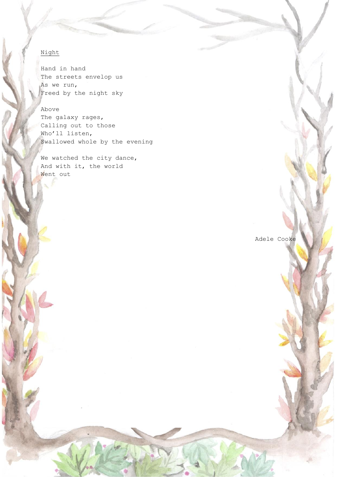### Night

Hand in hand The streets envelop us As we run, Freed by the night sky

#### Above

The galaxy rages, Calling out to those Who'll listen, Swallowed whole by the evening

We watched the city dance, And with it, the world Went out

Adele Cooke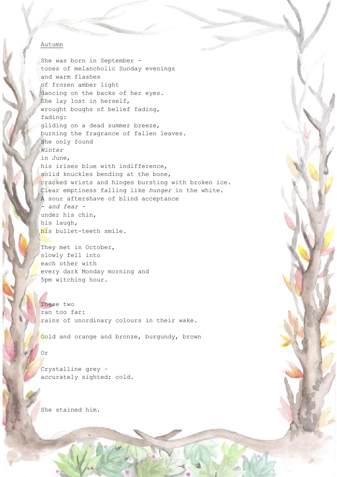#### Autumn

She was born in September tones of melancholic Sunday evenings and warm flashes of frozen amber light dancing on the backs of her eyes. She lay lost in herself, wrought boughs of belief fading, fading: gliding on a dead summer breeze, burning the fragrance of fallen leaves. She only found *Winter* in June, his irises blue with indifference, solid knuckles bending at the bone, cracked wrists and hinges bursting with broken ice. Clear emptiness falling like *hunger* in the white. A sour aftershave of blind acceptance *- and fear*  under his chin, his laugh, his bullet-teeth smile.

They met in October, slowly fell into each other with every dark Monday morning and 5pm witching hour.

These two ran too far: rains of unordinary colours in their wake.

Gold and orange and bronze, burgundy, brown

#### Or

Crystalline grey – accurately sighted; cold.

She stained him.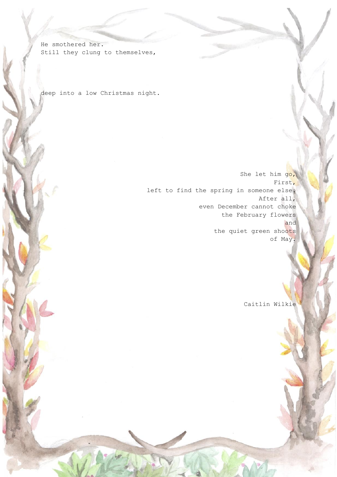He smothered her. Still they clung to themselves,

deep into a low Christmas night.

She let him go, First, left to find the spring in someone else. After all, even December cannot choke the February flowers and the quiet green shoots of May.

Caitlin Wilkie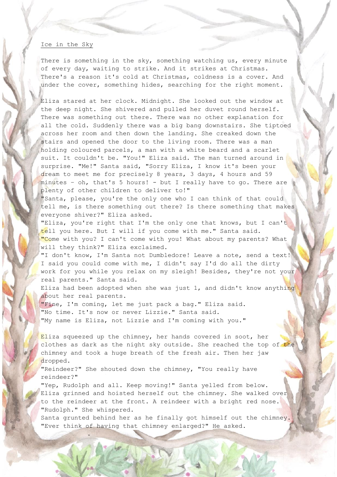#### Ice in the Sky

There is something in the sky, something watching us, every minute of every day, waiting to strike. And it strikes at Christmas. There's a reason it's cold at Christmas, coldness is a cover. And under the cover, something hides, searching for the right moment.

Eliza stared at her clock. Midnight. She looked out the window at the deep night. She shivered and pulled her duvet round herself. There was something out there. There was no other explanation for all the cold. Suddenly there was a big bang downstairs. She tiptoed across her room and then down the landing. She creaked down the stairs and opened the door to the living room. There was a man holding coloured parcels, a man with a white beard and a scarlet suit. It couldn't be. "You!" Eliza said. The man turned around in surprise. "Me!" Santa said, "Sorry Eliza, I know it's been your dream to meet me for precisely 8 years, 3 days, 4 hours and 59 minutes – oh, that's 5 hours! - but I really have to go. There are plenty of other children to deliver to!"

"Santa, please, you're the only one who I can think of that could tell me, is there something out there? Is there something that makes everyone shiver?" Eliza asked.

"Eliza, you're right that I'm the only one that knows, but I can't tell you here. But I will if you come with me." Santa said. "Come with you? I can't come with you! What about my parents? What will they think?" Eliza exclaimed.

"I don't know, I'm Santa not Dumbledore! Leave a note, send a text! I said you could come with me, I didn't say I'd do all the dirty work for you while you relax on my sleigh! Besides, they're not your real parents." Santa said.

Eliza had been adopted when she was just 1, and didn't know anything about her real parents.

"Fine, I'm coming, let me just pack a bag." Eliza said. "No time. It's now or never Lizzie." Santa said. "My name is Eliza, not Lizzie and I'm coming with you."

Eliza squeezed up the chimney, her hands covered in soot, her clothes as dark as the night sky outside. She reached the top of the chimney and took a huge breath of the fresh air. Then her jaw dropped.

"Reindeer?" She shouted down the chimney, "You really have reindeer?"

"Yep, Rudolph and all. Keep moving!" Santa yelled from below. Eliza grinned and hoisted herself out the chimney. She walked over to the reindeer at the front. A reindeer with a bright red nose. "Rudolph." She whispered.

Santa grunted behind her as he finally got himself out the chimney. "Ever think of having that chimney enlarged?" He asked.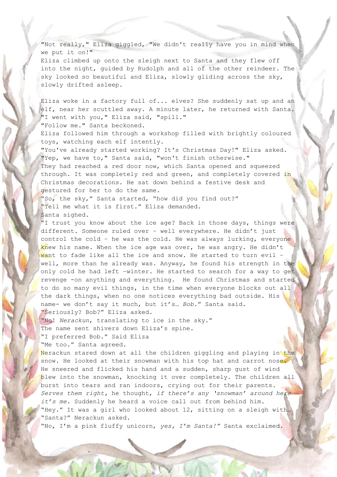"Not really," Eliza giggled, "We didn't really have you in mind when we put it on!"

Eliza climbed up onto the sleigh next to Santa and they flew off into the night, guided by Rudolph and all of the other reindeer. The sky looked so beautiful and Eliza, slowly gliding across the sky, slowly drifted asleep.

Eliza woke in a factory full of... elves? She suddenly sat up and an elf, near her scuttled away. A minute later, he returned with Santa. "I went with you," Eliza said, "spill." "Follow me." Santa beckoned.

Eliza followed him through a workshop filled with brightly coloured toys, watching each elf intently.

"You've already started working? It's Christmas Day!" Eliza asked. "Yep, we have to," Santa said, "won't finish otherwise." They had reached a red door now, which Santa opened and squeezed through. It was completely red and green, and completely covered in Christmas decorations. He sat down behind a festive desk and gestured for her to do the same.

"So, the sky," Santa started, "how did you find out?" "Tell me what it is first." Eliza demanded. Santa sighed.

"I trust you know about the ice age? Back in those days, things were different. Someone ruled over – well everywhere. He didn't just control the cold – he was the cold. He was always lurking, everyone knew his name. When the ice age was over, he was angry. He didn't want to fade like all the ice and snow. He started to turn evil well, more than he already was. Anyway, he found his strength in the only cold he had left –winter. He started to search for a way to get revenge -on anything and everything. He found Christmas and started to do so many evil things, in the time when everyone blocks out all the dark things, when no one notices everything bad outside. His name- we don't say it much, but it's… *Bob.*" Santa said. "Seriously? Bob?" Eliza asked.

"No! *Nerackun*, translating to ice in the sky." The name sent shivers down Eliza's spine. "I preferred Bob." Said Eliza "Me too." Santa agreed.

Nerackun stared down at all the children giggling and playing in the snow. He looked at their snowman with his top hat and carrot nose. He sneered and flicked his hand and a sudden, sharp gust of wind blew into the snowman, knocking it over completely. The children all burst into tears and ran indoors, crying out for their parents. *Serves them right,* he thought, *if there's any 'snowman' around here it's me.* Suddenly he heard a voice call out from behind him. "Hey." It was a girl who looked about 12, sitting on a sleigh with… "Santa?" Nerackun asked.

"No, I'm a pink fluffy unicorn, *yes, I'm Santa!"* Santa exclaimed.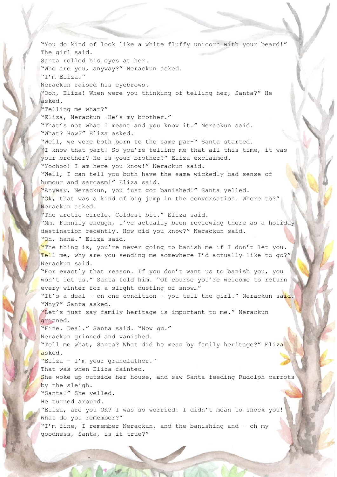"You do kind of look like a white fluffy unicorn with your beard!" The girl said. Santa rolled his eyes at her. "Who are you, anyway?" Nerackun asked. "I'm Eliza." Nerackun raised his eyebrows. "Ooh, Eliza! When were you thinking of telling her, Santa?" He asked. "Telling me what?" "Eliza, Nerackun -He's my brother." "That's not what I meant and you know it." Nerackun said. "What? How?" Eliza asked. "Well, we were both born to the same par-" Santa started. "I know that part! So you're telling me that all this time, it was your brother? He is your brother?" Eliza exclaimed. "Yoohoo! I am here you know!" Nerackun said. "Well, I can tell you both have the same wickedly bad sense of humour and sarcasm!" Eliza said. "Anyway, Nerackun, you just got banished!" Santa yelled. "Ok, that was a kind of big jump in the conversation. Where to?" Nerackun asked. "The arctic circle. Coldest bit." Eliza said. "Mm. Funnily enough, I've actually been reviewing there as a holiday destination recently. How did you know?" Nerackun said. "Oh, haha." Eliza said. "The thing is, you're never going to banish me if I don't let you. Tell me, why are you sending me somewhere I'd actually like to go?" Nerackun said. "For exactly that reason. If you don't want us to banish you, you won't let us." Santa told him. "Of course you're welcome to return every winter for a slight dusting of snow…" "It's a deal – on one condition – you tell the girl." Nerackun said. "Why?" Santa asked. "Let's just say family heritage is important to me." Nerackun grinned. "Fine. Deal." Santa said. "Now *go.*" Nerackun grinned and vanished. "Tell me what, Santa? What did he mean by family heritage?" Eliza asked. "Eliza – I'm your grandfather." That was when Eliza fainted. She woke up outside her house, and saw Santa feeding Rudolph carrots by the sleigh. "Santa!" She yelled. He turned around. "Eliza, are you OK? I was so worried! I didn't mean to shock you! What do you remember?" "I'm fine, I remember Nerackun, and the banishing and - oh my goodness, Santa, is it true?"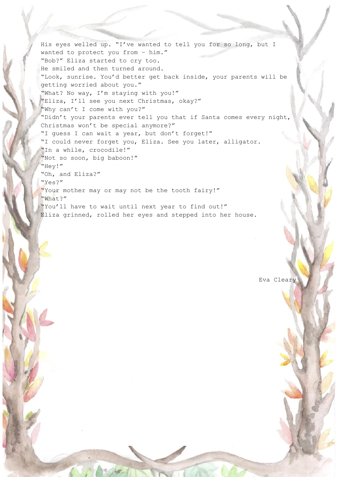His eyes welled up. "I've wanted to tell you for so long, but I wanted to protect you from – him." "Bob?" Eliza started to cry too. He smiled and then turned around. "Look, sunrise. You'd better get back inside, your parents will be getting worried about you." "What? No way, I'm staying with you!" "Eliza, I'll see you next Christmas, okay?" "Why can't I come with you?" "Didn't your parents ever tell you that if Santa comes every night, Christmas won't be special anymore?" "I guess I can wait a year, but don't forget!" "I could never forget you, Eliza. See you later, alligator. "In a while, crocodile!" "Not so soon, big baboon!" "Hey!" "Oh, and Eliza?" "Yes?" "Your mother may or may not be the tooth fairy!" "What?" "You'll have to wait until next year to find out!" Eliza grinned, rolled her eyes and stepped into her house.

Eva Cleary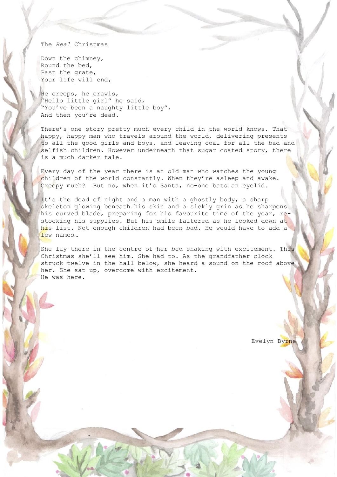#### The *Real* Christmas

Down the chimney, Round the bed, Past the grate, Your life will end,

He creeps, he crawls, "Hello little girl" he said, "You've been a naughty little boy", And then you're dead.

There's one story pretty much every child in the world knows. That happy, happy man who travels around the world, delivering presents to all the good girls and boys, and leaving coal for all the bad and selfish children. However underneath that sugar coated story, there is a much darker tale.

Every day of the year there is an old man who watches the young children of the world constantly. When they're asleep and awake. Creepy much? But no, when it's Santa, no-one bats an eyelid.

It's the dead of night and a man with a ghostly body, a sharp skeleton glowing beneath his skin and a sickly grin as he sharpens his curved blade, preparing for his favourite time of the year, restocking his supplies. But his smile faltered as he looked down at his list. Not enough children had been bad. He would have to add a few names…

She lay there in the centre of her bed shaking with excitement. This Christmas she'll see him. She had to. As the grandfather clock struck twelve in the hall below, she heard a sound on the roof above her. She sat up, overcome with excitement. He was here.

Evelyn Byrne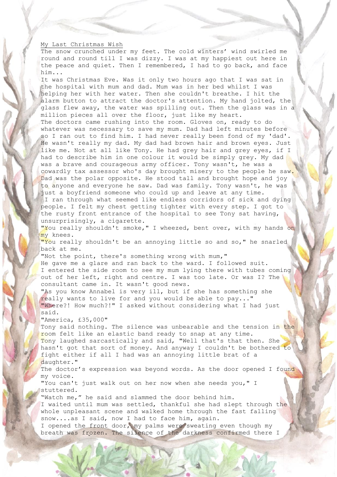#### My Last Christmas Wish

The snow crunched under my feet. The cold winters' wind swirled me round and round till I was dizzy. I was at my happiest out here in the peace and quiet. Then I remembered, I had to go back, and face him...

It was Christmas Eve. Was it only two hours ago that I was sat in the hospital with mum and dad. Mum was in her bed whilst I was helping her with her water. Then she couldn't breathe. I hit the alarm button to attract the doctor's attention. My hand jolted, the glass flew away, the water was spilling out. Then the glass was in a million pieces all over the floor, just like my heart. The doctors came rushing into the room. Gloves on, ready to do whatever was necessary to save my mum. Dad had left minutes before so I ran out to find him. I had never really been fond of my 'dad'. He wasn't really my dad. My dad had brown hair and brown eyes. Just like me. Not at all like Tony. He had grey hair and grey eyes, if I had to describe him in one colour it would be simply grey. My dad was a brave and courageous army officer. Tony wasn't, he was a cowardly tax assessor who's day brought misery to the people he saw. Dad was the polar opposite. He stood tall and brought hope and joy to anyone and everyone he saw. Dad was family. Tony wasn't, he was just a boyfriend someone who could up and leave at any time. I ran through what seemed like endless corridors of sick and dying people. I felt my chest getting tighter with every step. I got to the rusty front entrance of the hospital to see Tony sat having, unsurprisingly, a cigarette. "You really shouldn't smoke," I wheezed, bent over, with my hands on my knees.

"You really shouldn't be an annoying little so and so," he snarled back at me.

"Not the point, there's something wrong with mum,"

He gave me a glare and ran back to the ward. I followed suit. I entered the side room to see my mum lying there with tubes coming out of her left, right and centre. I was too late. Or was I? The consultant came in. It wasn't good news.

"As you know Annabel is very ill, but if she has something she really wants to live for and you would be able to pay..." "Where?! How much?!" I asked without considering what I had just said.

"America, £35,000"

Tony said nothing. The silence was unbearable and the tension in the room felt like an elastic band ready to snap at any time. Tony laughed sarcastically and said, "Well that's that then. She hasn't got that sort of money. And anyway I couldn't be bothered to fight either if all I had was an annoying little brat of a daughter."

The doctor's expression was beyond words. As the door opened I found my voice.

"You can't just walk out on her now when she needs you," I stuttered.

"Watch me," he said and slammed the door behind him. I waited until mum was settled, thankful she had slept through the whole unpleasant scene and walked home through the fast falling snow....as I said, now I had to face him, again. I opened the front door, my palms were sweating even though my

breath was frozen. The silence of the darkness confirmed there I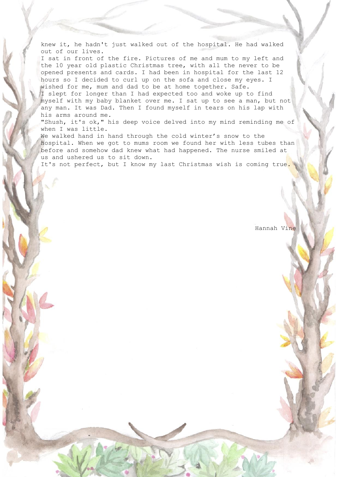knew it, he hadn't just walked out of the hospital. He had walked out of our lives.

I sat in front of the fire. Pictures of me and mum to my left and the 10 year old plastic Christmas tree, with all the never to be opened presents and cards. I had been in hospital for the last 12 hours so I decided to curl up on the sofa and close my eyes. I wished for me, mum and dad to be at home together. Safe.

I slept for longer than I had expected too and woke up to find myself with my baby blanket over me. I sat up to see a man, but not any man. It was Dad. Then I found myself in tears on his lap with his arms around me.

"Shush, it's ok," his deep voice delved into my mind reminding me of when I was little.

We walked hand in hand through the cold winter's snow to the hospital. When we got to mums room we found her with less tubes than before and somehow dad knew what had happened. The nurse smiled at us and ushered us to sit down.

It's not perfect, but I know my last Christmas wish is coming true.

Hannah Vine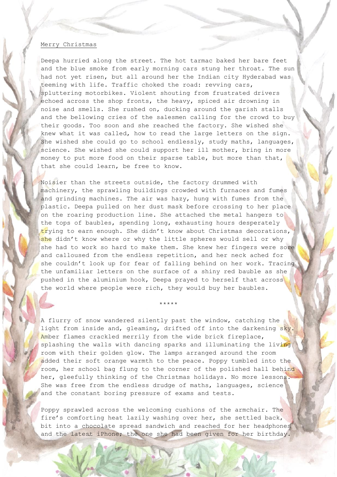#### Merry Christmas

Deepa hurried along the street. The hot tarmac baked her bare feet and the blue smoke from early morning cars stung her throat. The sun had not yet risen, but all around her the Indian city Hyderabad was teeming with life. Traffic choked the road: revving cars, spluttering motorbikes. Violent shouting from frustrated drivers echoed across the shop fronts, the heavy, spiced air drowning in noise and smells. She rushed on, ducking around the garish stalls and the bellowing cries of the salesmen calling for the crowd to buy their goods. Too soon and she reached the factory. She wished she knew what it was called, how to read the large letters on the sign. She wished she could go to school endlessly, study maths, languages, science. She wished she could support her ill mother, bring in more money to put more food on their sparse table, but more than that, that she could learn, be free to know.

Noisier than the streets outside, the factory drummed with machinery, the sprawling buildings crowded with furnaces and fumes and grinding machines. The air was hazy, hung with fumes from the plastic. Deepa pulled on her dust mask before crossing to her place on the roaring production line. She attached the metal hangers to the tops of baubles, spending long, exhausting hours desperately trying to earn enough. She didn't know about Christmas decorations, she didn't know where or why the little spheres would sell or why she had to work so hard to make them. She knew her fingers were sore and calloused from the endless repetition, and her neck ached for she couldn't look up for fear of falling behind on her work. Tracing the unfamiliar letters on the surface of a shiny red bauble as she pushed in the aluminium hook, Deepa prayed to herself that across the world where people were rich, they would buy her baubles.

A flurry of snow wandered silently past the window, catching the light from inside and, gleaming, drifted off into the darkening sky. Amber flames crackled merrily from the wide brick fireplace, splashing the walls with dancing sparks and illuminating the living room with their golden glow. The lamps arranged around the room added their soft orange warmth to the peace. Poppy tumbled into the room, her school bag flung to the corner of the polished hall behind her, gleefully thinking of the Christmas holidays. No more lessons. She was free from the endless drudge of maths, languages, science and the constant boring pressure of exams and tests.

\*\*\*\*\*

Poppy sprawled across the welcoming cushions of the armchair. The fire's comforting heat lazily washing over her, she settled back, bit into a chocolate spread sandwich and reached for her headphones and the latest iPhone; the one she had been given for her birthday.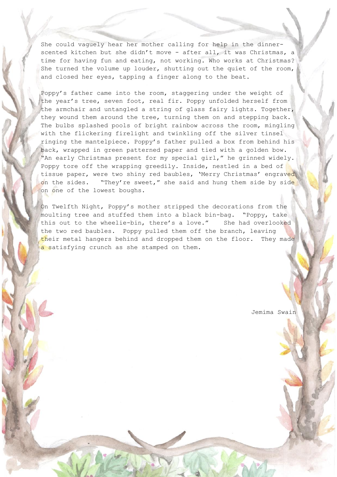She could vaguely hear her mother calling for help in the dinnerscented kitchen but she didn't move - after all, it was Christmas, a time for having fun and eating, not working. Who works at Christmas? She turned the volume up louder, shutting out the quiet of the room, and closed her eyes, tapping a finger along to the beat.

Poppy's father came into the room, staggering under the weight of the year's tree, seven foot, real fir. Poppy unfolded herself from the armchair and untangled a string of glass fairy lights. Together, they wound them around the tree, turning them on and stepping back. The bulbs splashed pools of bright rainbow across the room, mingling with the flickering firelight and twinkling off the silver tinsel ringing the mantelpiece. Poppy's father pulled a box from behind his back, wrapped in green patterned paper and tied with a golden bow. "An early Christmas present for my special girl," he grinned widely. Poppy tore off the wrapping greedily. Inside, nestled in a bed of tissue paper, were two shiny red baubles, 'Merry Christmas' engraved on the sides. "They're sweet," she said and hung them side by side on one of the lowest boughs.

On Twelfth Night, Poppy's mother stripped the decorations from the moulting tree and stuffed them into a black bin-bag. "Poppy, take this out to the wheelie-bin, there's a love." She had overlooked the two red baubles. Poppy pulled them off the branch, leaving their metal hangers behind and dropped them on the floor. They made a satisfying crunch as she stamped on them.

Jemima Swain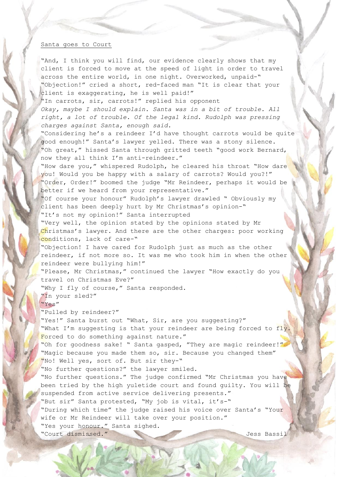#### Santa goes to Court

"And, I think you will find, our evidence clearly shows that my client is forced to move at the speed of light in order to travel across the entire world, in one night. Overworked, unpaid-" "Objection!" cried a short, red-faced man "It is clear that your client is exaggerating, he is well paid!"

"In carrots, sir, carrots!" replied his opponent *Okay, maybe I should explain. Santa was in a bit of trouble. All right, a lot of trouble. Of the legal kind. Rudolph was pressing charges against Santa, enough said.*

"Considering he's a reindeer I'd have thought carrots would be quite good enough!" Santa's lawyer yelled. There was a stony silence. "Oh great," hissed Santa through gritted teeth "good work Bernard, now they all think I'm anti-reindeer."

"How dare you," whispered Rudolph, he cleared his throat "How dare you! Would you be happy with a salary of carrots? Would you?!" "Order, Order!" boomed the judge "Mr Reindeer, perhaps it would be better if we heard from your representative."

"Of course your honour" Rudolph's lawyer drawled " Obviously my client has been deeply hurt by Mr Christmas's opinion-" "It's not my opinion!" Santa interrupted

"Very well, the opinion stated by the opinions stated by Mr Christmas's lawyer. And there are the other charges: poor working conditions, lack of care-"

"Objection! I have cared for Rudolph just as much as the other reindeer, if not more so. It was me who took him in when the other reindeer were bullying him!"

"Please, Mr Christmas," continued the lawyer "How exactly do you travel on Christmas Eve?"

"Why I fly of course," Santa responded.

"In your sled?" "Yes"

"Pulled by reindeer?"

"Yes!" Santa burst out "What, Sir, are you suggesting?" "What I'm suggesting is that your reindeer are being forced to fly. Forced to do something against nature." "Oh for goodness sake! " Santa gasped, "They are magic reindeer!" "Magic because you made them so, sir. Because you changed them" "No! Well yes, sort of. But sir they-" "No further questions?" the lawyer smiled. "No further questions." The judge confirmed "Mr Christmas you have been tried by the high yuletide court and found guilty. You will be suspended from active service delivering presents." "But sir" Santa protested, "My job is vital, it's-" "During which time" the judge raised his voice over Santa's "Your wife or Mr Reindeer will take over your position." "Yes your honour." Santa sighed. "Court dismissed." Jess Bassil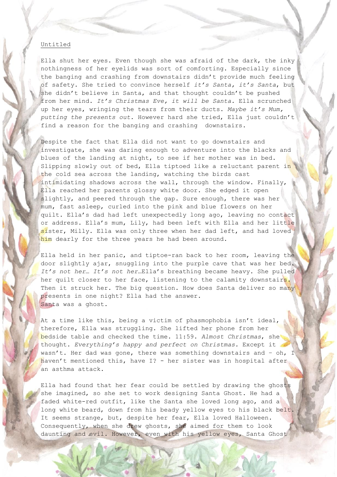#### Untitled

Ella shut her eyes. Even though she was afraid of the dark, the inky nothingness of her eyelids was sort of comforting. Especially since the banging and crashing from downstairs didn't provide much feeling of safety. She tried to convince herself *it's Santa, it's Santa*, but she didn't believe in Santa, and that thought couldn't be pushed from her mind. *It's Christmas Eve, it will be Santa.* Ella scrunched up her eyes, wringing the tears from their ducts. *Maybe it's Mum, putting the presents out.* However hard she tried, Ella just couldn't find a reason for the banging and crashing downstairs.

Despite the fact that Ella did not want to go downstairs and investigate, she was daring enough to adventure into the blacks and blues of the landing at night, to see if her mother was in bed. Slipping slowly out of bed, Ella tiptoed like a reluctant parent in the cold sea across the landing, watching the birds cast intimidating shadows across the wall, through the window. Finally, Ella reached her parents glossy white door. She edged it open slightly, and peered through the gap. Sure enough, there was her mum, fast asleep, curled into the pink and blue flowers on her quilt. Ella's dad had left unexpectedly long ago, leaving no contact or address. Ella's mum, Lily, had been left with Ella and her little sister, Milly. Ella was only three when her dad left, and had loved him dearly for the three years he had been around.

Ella held in her panic, and tiptoe-ran back to her room, leaving the door slightly ajar, snuggling into the purple cave that was her bed. *It's not her… It's not her…*Ella's breathing became heavy. She pulled her quilt closer to her face, listening to the calamity downstairs. Then it struck her. The big question. How does Santa deliver so many presents in one night? Ella had the answer. Santa was a ghost.

At a time like this, being a victim of phasmophobia isn't ideal, therefore, Ella was struggling. She lifted her phone from her bedside table and checked the time. 11:59. *Almost Christmas*, she thought. *Everything's happy and perfect on Christmas.* Except it wasn't. Her dad was gone, there was something downstairs and - oh, I haven't mentioned this, have I? - her sister was in hospital after an asthma attack.

Ella had found that her fear could be settled by drawing the ghosts she imagined, so she set to work designing Santa Ghost. He had a faded white-red outfit, like the Santa she loved long ago, and a long white beard, down from his beady yellow eyes to his black belt. It seems strange, but, despite her fear, Ella loved Halloween. Consequently, when she drew ghosts, she aimed for them to look daunting and evil. However, even with his yellow eyes, Santa Ghost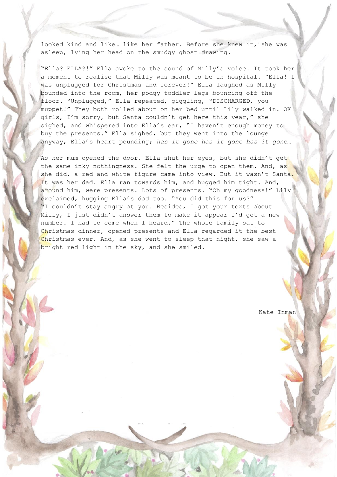looked kind and like… like her father. Before she knew it, she was asleep, lying her head on the smudgy ghost drawing.

"Ella? ELLA?!" Ella awoke to the sound of Milly's voice. It took her a moment to realise that Milly was meant to be in hospital. "Ella! I was unplugged for Christmas and forever!" Ella laughed as Milly bounded into the room, her podgy toddler legs bouncing off the floor. "Unplugged," Ella repeated, giggling, "DISCHARGED, you muppet!" They both rolled about on her bed until Lily walked in. OK girls, I'm sorry, but Santa couldn't get here this year," she sighed, and whispered into Ella's ear, "I haven't enough money to buy the presents." Ella sighed, but they went into the lounge anyway, Ella's heart pounding; *has it gone has it gone has it gone…* 

As her mum opened the door, Ella shut her eyes, but she didn't get the same inky nothingness. She felt the urge to open them. And, as she did, a red and white figure came into view. But it wasn't Santa. It was her dad. Ella ran towards him, and hugged him tight. And, around him, were presents. Lots of presents. "Oh my goodness!" Lily exclaimed, hugging Ella's dad too. "You did this for us?" "I couldn't stay angry at you. Besides, I got your texts about Milly, I just didn't answer them to make it appear I'd got a new number. I had to come when I heard." The whole family sat to Christmas dinner, opened presents and Ella regarded it the best Christmas ever. And, as she went to sleep that night, she saw a bright red light in the sky, and she smiled.

Kate Inman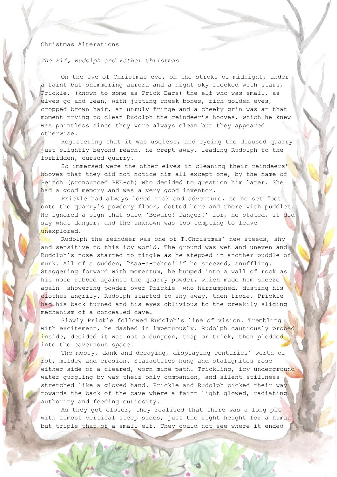#### Christmas Alterations

*The Elf, Rudolph and Father Christmas*

On the eve of Christmas eve, on the stroke of midnight, under a faint but shimmering aurora and a night sky flecked with stars, Prickle, (known to some as Prick-Ears) the elf who was small, as elves go and lean, with jutting cheek bones, rich golden eyes, cropped brown hair, an unruly fringe and a cheeky grin was at that moment trying to clean Rudolph the reindeer's hooves, which he knew was pointless since they were always clean but they appeared otherwise.

Registering that it was useless, and eyeing the disused quarry just slightly beyond reach, he crept away, leading Rudolph to the forbidden, cursed quarry.

So immersed were the other elves in cleaning their reindeers' hooves that they did not notice him all except one, by the name of Peitch (pronounced PEE-ch) who decided to question him later. She had a good memory and was a very good inventor.

Prickle had always loved risk and adventure, so he set foot onto the quarry's powdery floor, dotted here and there with puddles. He ignored a sign that said 'Beware! Danger!' for, he stated, it did say what danger, and the unknown was too tempting to leave unexplored.

Rudolph the reindeer was one of T.Christmas' new steeds, shy and sensitive to this icy world. The ground was wet and uneven and Rudolph's nose started to tingle as he stepped in another puddle of murk. All of a sudden, "Aaa-a-tchoo!!!" he sneezed, snuffling. Staggering forward with momentum, he bumped into a wall of rock as his nose rubbed against the quarry powder, which made him sneeze again- showering powder over Prickle- who harrumphed, dusting his clothes angrily. Rudolph started to shy away, then froze. Prickle had his back turned and his eyes oblivious to the creakily sliding mechanism of a concealed cave.

Slowly Prickle followed Rudolph's line of vision. Trembling with excitement, he dashed in impetuously. Rudolph cautiously probed inside, decided it was not a dungeon, trap or trick, then plodded into the cavernous space.

The mossy, dank and decaying, displaying centuries' worth of rot, mildew and erosion. Stalactites hung and stalagmites rose either side of a cleared, worn mine path. Trickling, icy underground water gurgling by was their only companion, and silent stillness stretched like a gloved hand. Prickle and Rudolph picked their way towards the back of the cave where a faint light glowed, radiating authority and feeding curiosity.

As they got closer, they realised that there was a long pit with almost vertical steep sides, just the right height for a human but triple that of a small elf. They could not see where it ended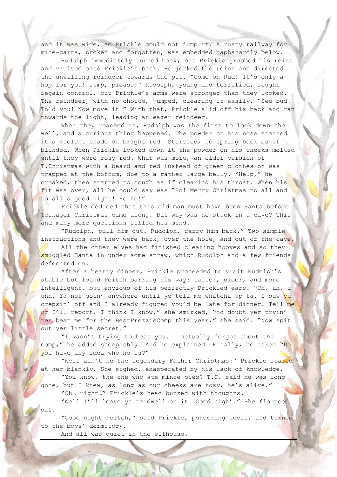and it was wide, so Prickle could not jump it. A rusty railway for mine-carts, broken and forgotten, was embedded haphazardly below.

Rudolph immediately turned back, but Prickle grabbed his reins and vaulted onto Prickle's back. He jerked the reins and directed the unwilling reindeer towards the pit. "Come on Rud! It's only a hop for you! Jump, please!" Rudolph, young and terrified, fought regain control, but Prickle's arms were stronger than they looked. The reindeer, with no choice, jumped, clearing it easily. "See bud! Told you! Now move it!" With that, Prickle slid off his back and ran towards the light, leading an eager reindeer.

When they reached it, Rudolph was the first to look down the well, and a curious thing happened. The powder on his nose stained it a violent shade of bright red. Startled, he sprang back as if blinded. When Prickle looked down it the powder on his cheeks melted until they were rosy red. What was more, an older version of T.Christmas with a beard and red instead of green clothes on was trapped at the bottom, due to a rather large belly. "Help," he croaked, then started to cough as if clearing his throat. When his fit was over, all he could say was "Ho! Merry Christmas to all and to all a good night! Ho ho!"

Prickle deduced that this old man must have been Santa before Teenager Christmas came along. But why was he stuck in a cave? This and many more questions filled his mind.

"Rudolph, pull him out. Rudolph, carry him back." Two simple instructions and they were back, over the hole, and out of the cave.

All the other elves had finished cleaning hooves and so they smuggled Santa in under some straw, which Rudolph and a few friends defecated on.

After a hearty dinner, Prickle proceeded to visit Rudolph's stable but found Peitch barring his way: taller, older, and more intelligent, but envious of his perfectly Prickled ears. "Uh, uh, uuhh. Ya not goin' anywhere until ye tell me whatcha up ta. I saw ya crepsin' off and I already figured you'd be late for dinner. Tell me or I'll report. I think I know," she smirked, "no doubt yer tryin' ter beat me for the BestPrezzieComp this year," she said. "Now spit out yer little secret."

"I wasn't trying to beat you. I actually forgot about the comp," he added sheepishly. And he explained. Finally, he asked "Do you have any idea who he is?"

"Well ain't he the legendary Father Christmas?" Prickle stared at her blankly. She sighed, exasperated by his lack of knowledge. "You know, the one who ate mince pies? T.C. said he was long

gone, but I knew, as long as our cheeks are rosy, he's alive."

"Oh… right…" Prickle's head buzzed with thoughts.

"Well I'll leave ya ta dwell on it. Good nigh'." She flounced off.

"Good night Peitch," said Prickle, pondering ideas, and turned to the boys' dormitory.

And all was quiet in the elfhouse.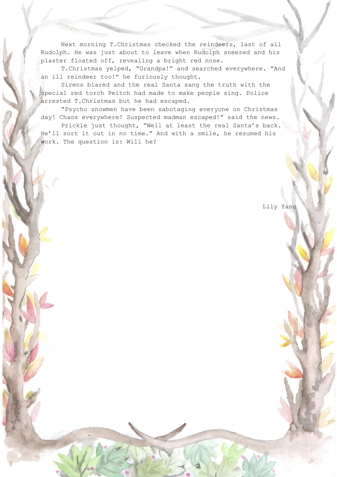Next morning T.Christmas checked the reindeers, last of all Rudolph. He was just about to leave when Rudolph sneezed and his plaster floated off, revealing a bright red nose.

T.Christmas yelped, "Grandpa!" and searched everywhere. "And an ill reindeer too!" he furiously thought.

Sirens blared and the real Santa sang the truth with the special red torch Peitch had made to make people sing. Police arrested T.Christmas but he had escaped.

"Psycho snowmen have been sabotaging everyone on Christmas day! Chaos everywhere! Suspected madman escaped!" said the news. Prickle just thought, "Well at least the real Santa's back. He'll sort it out in no time." And with a smile, he resumed his work. The question is: Will he?

Lily Yang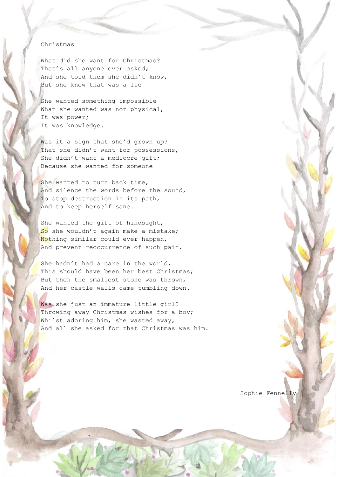#### Christmas

What did she want for Christmas? That's all anyone ever asked; And she told them she didn't know, But she knew that was a lie

She wanted something impossible What she wanted was not physical, It was power; It was knowledge.

Was it a sign that she'd grown up? That she didn't want for possessions, She didn't want a mediocre gift; Because she wanted for someone

She wanted to turn back time, And silence the words before the sound, To stop destruction in its path, And to keep herself sane.

She wanted the gift of hindsight, So she wouldn't again make a mistake; Nothing similar could ever happen, And prevent reoccurrence of such pain.

She hadn't had a care in the world, This should have been her best Christmas; But then the smallest stone was thrown, And her castle walls came tumbling down.

Was she just an immature little girl? Throwing away Christmas wishes for a boy; Whilst adoring him, she wasted away, And all she asked for that Christmas was him.

Sophie Fennelly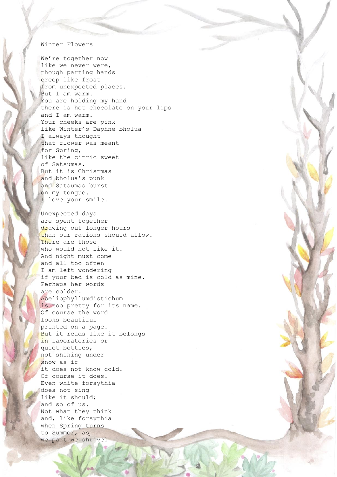#### Winter Flowers

We're together now like we never were, though parting hands creep like frost from unexpected places. But I am warm. You are holding my hand there is hot chocolate on your lips and I am warm. Your cheeks are pink like Winter's Daphne bholua – I always thought that flower was meant for Spring, like the citric sweet of Satsumas. But it is Christmas and bholua's punk and Satsumas burst on my tongue. I love your smile.

Unexpected days are spent together drawing out longer hours than our rations should allow. There are those who would not like it. And night must come and all too often I am left wondering if your bed is cold as mine. Perhaps her words are colder. Abeliophyllumdistichum is too pretty for its name. Of course the word looks beautiful printed on a page. But it reads like it belongs in laboratories or quiet bottles, not shining under snow as if it does not know cold. Of course it does. Even white forsythia does not sing like it should; and so of us. Not what they think and, like forsythia when Spring turns to Summer, as we part we shrivel